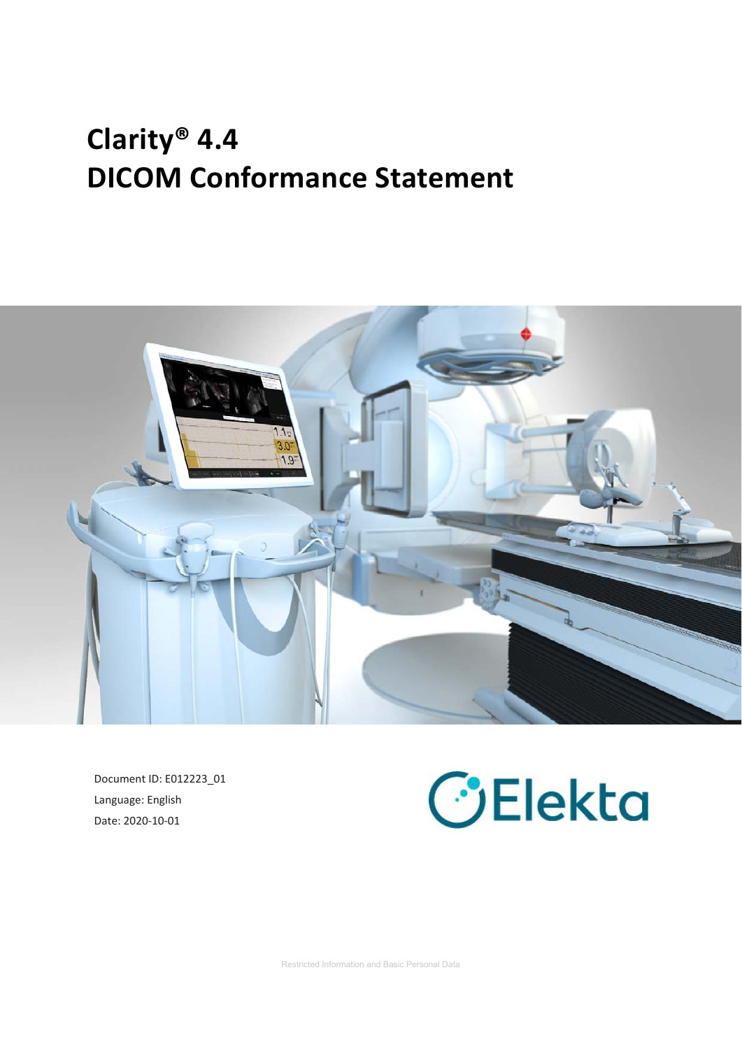# **Clarity® 4.4 DICOM Conformance Statement**



Document ID: E012223\_01 Language: English Date: 2020‐10‐01

# **C**Blekta

Restricted Information and Basic Personal Data